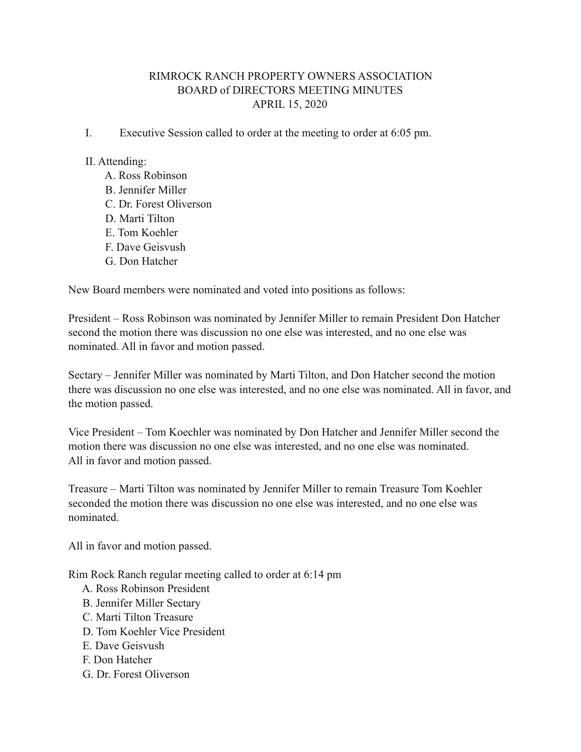# RIMROCK RANCH PROPERTY OWNERS ASSOCIATION BOARD of DIRECTORS MEETING MINUTES APRIL 15, 2020

I. Executive Session called to order at the meeting to order at 6:05 pm.

#### II. Attending:

 A. Ross Robinson B. Jennifer Miller C. Dr. Forest Oliverson D. Marti Tilton E. Tom Koehler F. Dave Geisvush G. Don Hatcher

New Board members were nominated and voted into positions as follows:

President – Ross Robinson was nominated by Jennifer Miller to remain President Don Hatcher second the motion there was discussion no one else was interested, and no one else was nominated. All in favor and motion passed.

Sectary – Jennifer Miller was nominated by Marti Tilton, and Don Hatcher second the motion there was discussion no one else was interested, and no one else was nominated. All in favor, and the motion passed.

Vice President – Tom Koechler was nominated by Don Hatcher and Jennifer Miller second the motion there was discussion no one else was interested, and no one else was nominated. All in favor and motion passed.

Treasure – Marti Tilton was nominated by Jennifer Miller to remain Treasure Tom Koehler seconded the motion there was discussion no one else was interested, and no one else was nominated.

All in favor and motion passed.

Rim Rock Ranch regular meeting called to order at 6:14 pm

- A. Ross Robinson President
- B. Jennifer Miller Sectary
- C. Marti Tilton Treasure
- D. Tom Koehler Vice President
- E. Dave Geisvush
- F. Don Hatcher
- G. Dr. Forest Oliverson